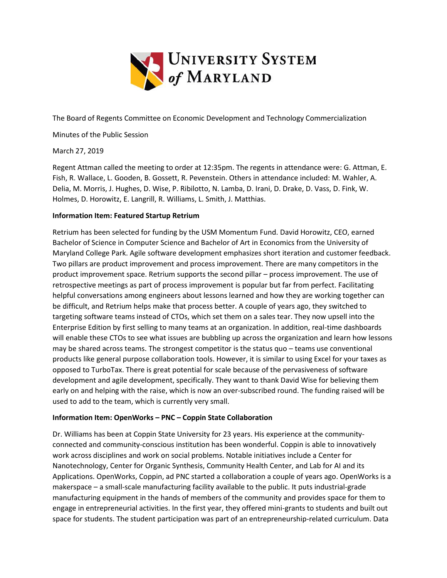

The Board of Regents Committee on Economic Development and Technology Commercialization

Minutes of the Public Session

March 27, 2019

Regent Attman called the meeting to order at 12:35pm. The regents in attendance were: G. Attman, E. Fish, R. Wallace, L. Gooden, B. Gossett, R. Pevenstein. Others in attendance included: M. Wahler, A. Delia, M. Morris, J. Hughes, D. Wise, P. Ribilotto, N. Lamba, D. Irani, D. Drake, D. Vass, D. Fink, W. Holmes, D. Horowitz, E. Langrill, R. Williams, L. Smith, J. Matthias.

### **Information Item: Featured Startup Retrium**

Retrium has been selected for funding by the USM Momentum Fund. David Horowitz, CEO, earned Bachelor of Science in Computer Science and Bachelor of Art in Economics from the University of Maryland College Park. Agile software development emphasizes short iteration and customer feedback. Two pillars are product improvement and process improvement. There are many competitors in the product improvement space. Retrium supports the second pillar – process improvement. The use of retrospective meetings as part of process improvement is popular but far from perfect. Facilitating helpful conversations among engineers about lessons learned and how they are working together can be difficult, and Retrium helps make that process better. A couple of years ago, they switched to targeting software teams instead of CTOs, which set them on a sales tear. They now upsell into the Enterprise Edition by first selling to many teams at an organization. In addition, real-time dashboards will enable these CTOs to see what issues are bubbling up across the organization and learn how lessons may be shared across teams. The strongest competitor is the status quo – teams use conventional products like general purpose collaboration tools. However, it is similar to using Excel for your taxes as opposed to TurboTax. There is great potential for scale because of the pervasiveness of software development and agile development, specifically. They want to thank David Wise for believing them early on and helping with the raise, which is now an over-subscribed round. The funding raised will be used to add to the team, which is currently very small.

### **Information Item: OpenWorks – PNC – Coppin State Collaboration**

Dr. Williams has been at Coppin State University for 23 years. His experience at the communityconnected and community-conscious institution has been wonderful. Coppin is able to innovatively work across disciplines and work on social problems. Notable initiatives include a Center for Nanotechnology, Center for Organic Synthesis, Community Health Center, and Lab for AI and its Applications. OpenWorks, Coppin, ad PNC started a collaboration a couple of years ago. OpenWorks is a makerspace – a small-scale manufacturing facility available to the public. It puts industrial-grade manufacturing equipment in the hands of members of the community and provides space for them to engage in entrepreneurial activities. In the first year, they offered mini-grants to students and built out space for students. The student participation was part of an entrepreneurship-related curriculum. Data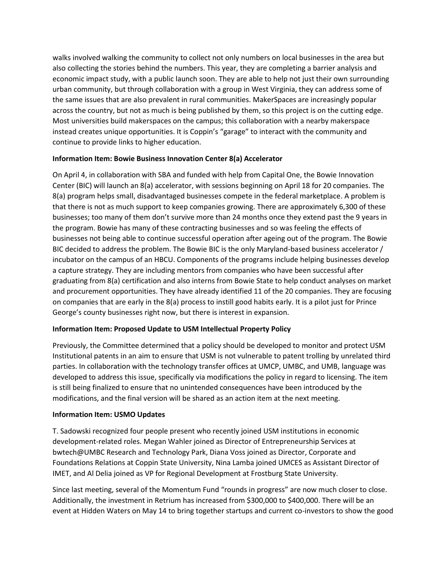walks involved walking the community to collect not only numbers on local businesses in the area but also collecting the stories behind the numbers. This year, they are completing a barrier analysis and economic impact study, with a public launch soon. They are able to help not just their own surrounding urban community, but through collaboration with a group in West Virginia, they can address some of the same issues that are also prevalent in rural communities. MakerSpaces are increasingly popular across the country, but not as much is being published by them, so this project is on the cutting edge. Most universities build makerspaces on the campus; this collaboration with a nearby makerspace instead creates unique opportunities. It is Coppin's "garage" to interact with the community and continue to provide links to higher education.

# **Information Item: Bowie Business Innovation Center 8(a) Accelerator**

On April 4, in collaboration with SBA and funded with help from Capital One, the Bowie Innovation Center (BIC) will launch an 8(a) accelerator, with sessions beginning on April 18 for 20 companies. The 8(a) program helps small, disadvantaged businesses compete in the federal marketplace. A problem is that there is not as much support to keep companies growing. There are approximately 6,300 of these businesses; too many of them don't survive more than 24 months once they extend past the 9 years in the program. Bowie has many of these contracting businesses and so was feeling the effects of businesses not being able to continue successful operation after ageing out of the program. The Bowie BIC decided to address the problem. The Bowie BIC is the only Maryland-based business accelerator / incubator on the campus of an HBCU. Components of the programs include helping businesses develop a capture strategy. They are including mentors from companies who have been successful after graduating from 8(a) certification and also interns from Bowie State to help conduct analyses on market and procurement opportunities. They have already identified 11 of the 20 companies. They are focusing on companies that are early in the 8(a) process to instill good habits early. It is a pilot just for Prince George's county businesses right now, but there is interest in expansion.

# **Information Item: Proposed Update to USM Intellectual Property Policy**

Previously, the Committee determined that a policy should be developed to monitor and protect USM Institutional patents in an aim to ensure that USM is not vulnerable to patent trolling by unrelated third parties. In collaboration with the technology transfer offices at UMCP, UMBC, and UMB, language was developed to address this issue, specifically via modifications the policy in regard to licensing. The item is still being finalized to ensure that no unintended consequences have been introduced by the modifications, and the final version will be shared as an action item at the next meeting.

# **Information Item: USMO Updates**

T. Sadowski recognized four people present who recently joined USM institutions in economic development-related roles. Megan Wahler joined as Director of Entrepreneurship Services at bwtech@UMBC Research and Technology Park, Diana Voss joined as Director, Corporate and Foundations Relations at Coppin State University, Nina Lamba joined UMCES as Assistant Director of IMET, and Al Delia joined as VP for Regional Development at Frostburg State University.

Since last meeting, several of the Momentum Fund "rounds in progress" are now much closer to close. Additionally, the investment in Retrium has increased from \$300,000 to \$400,000. There will be an event at Hidden Waters on May 14 to bring together startups and current co-investors to show the good